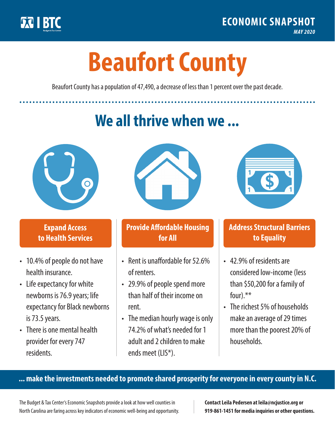

**1**

# **Beaufort County**

Beaufort County has a population of 47,490, a decrease of less than 1 percent over the past decade.

# **We all thrive when we ...**



**\$ <sup>1</sup>**

**\$ <sup>1</sup>**

#### **Expand Access to Health Services**

- 10.4% of people do not have health insurance.
- Life expectancy for white newborns is 76.9 years; life expectancy for Black newborns is 73.5years.
- There is one mental health provider for every 747 residents.



## **Provide Affordable Housing for All**

- Rent is unaffordable for 52.6% of renters.
- 29.9% of people spend more than half of their income on rent.
- The median hourly wage is only 74.2% of what's needed for 1 adult and 2 children to make ends meet (LIS\*).



## **Address Structural Barriers to Equality**

- 42.9% of residents are considered low-income (less than \$50,200 for a family of four).\*\*
- The richest 5% of households make an average of 29 times more than the poorest 20% of households.

#### **... make the investments needed to promote shared prosperity for everyone in every county in N.C.**

The Budget & Tax Center's Economic Snapshots provide a look at how well counties in North Carolina are faring across key indicators of economic well-being and opportunity.